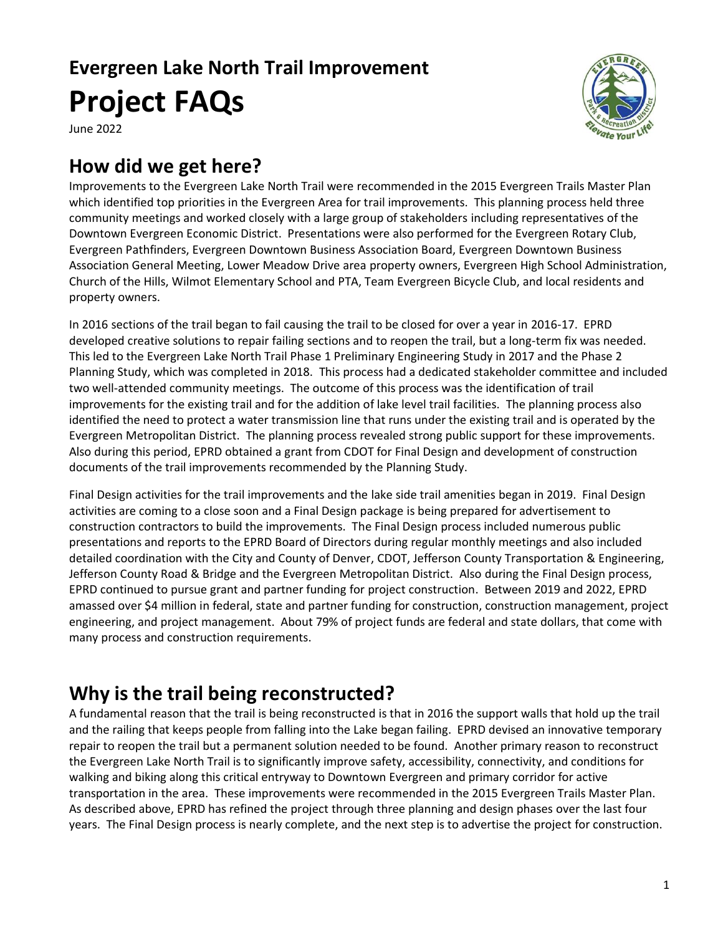# **Evergreen Lake North Trail Improvement Project FAQs**



June 2022

#### **How did we get here?**

Improvements to the Evergreen Lake North Trail were recommended in the 2015 Evergreen Trails Master Plan which identified top priorities in the Evergreen Area for trail improvements. This planning process held three community meetings and worked closely with a large group of stakeholders including representatives of the Downtown Evergreen Economic District. Presentations were also performed for the Evergreen Rotary Club, Evergreen Pathfinders, Evergreen Downtown Business Association Board, Evergreen Downtown Business Association General Meeting, Lower Meadow Drive area property owners, Evergreen High School Administration, Church of the Hills, Wilmot Elementary School and PTA, Team Evergreen Bicycle Club, and local residents and property owners.

In 2016 sections of the trail began to fail causing the trail to be closed for over a year in 2016-17. EPRD developed creative solutions to repair failing sections and to reopen the trail, but a long-term fix was needed. This led to the Evergreen Lake North Trail Phase 1 Preliminary Engineering Study in 2017 and the Phase 2 Planning Study, which was completed in 2018. This process had a dedicated stakeholder committee and included two well-attended community meetings. The outcome of this process was the identification of trail improvements for the existing trail and for the addition of lake level trail facilities. The planning process also identified the need to protect a water transmission line that runs under the existing trail and is operated by the Evergreen Metropolitan District. The planning process revealed strong public support for these improvements. Also during this period, EPRD obtained a grant from CDOT for Final Design and development of construction documents of the trail improvements recommended by the Planning Study.

Final Design activities for the trail improvements and the lake side trail amenities began in 2019. Final Design activities are coming to a close soon and a Final Design package is being prepared for advertisement to construction contractors to build the improvements. The Final Design process included numerous public presentations and reports to the EPRD Board of Directors during regular monthly meetings and also included detailed coordination with the City and County of Denver, CDOT, Jefferson County Transportation & Engineering, Jefferson County Road & Bridge and the Evergreen Metropolitan District. Also during the Final Design process, EPRD continued to pursue grant and partner funding for project construction. Between 2019 and 2022, EPRD amassed over \$4 million in federal, state and partner funding for construction, construction management, project engineering, and project management. About 79% of project funds are federal and state dollars, that come with many process and construction requirements.

## **Why is the trail being reconstructed?**

A fundamental reason that the trail is being reconstructed is that in 2016 the support walls that hold up the trail and the railing that keeps people from falling into the Lake began failing. EPRD devised an innovative temporary repair to reopen the trail but a permanent solution needed to be found. Another primary reason to reconstruct the Evergreen Lake North Trail is to significantly improve safety, accessibility, connectivity, and conditions for walking and biking along this critical entryway to Downtown Evergreen and primary corridor for active transportation in the area. These improvements were recommended in the 2015 Evergreen Trails Master Plan. As described above, EPRD has refined the project through three planning and design phases over the last four years. The Final Design process is nearly complete, and the next step is to advertise the project for construction.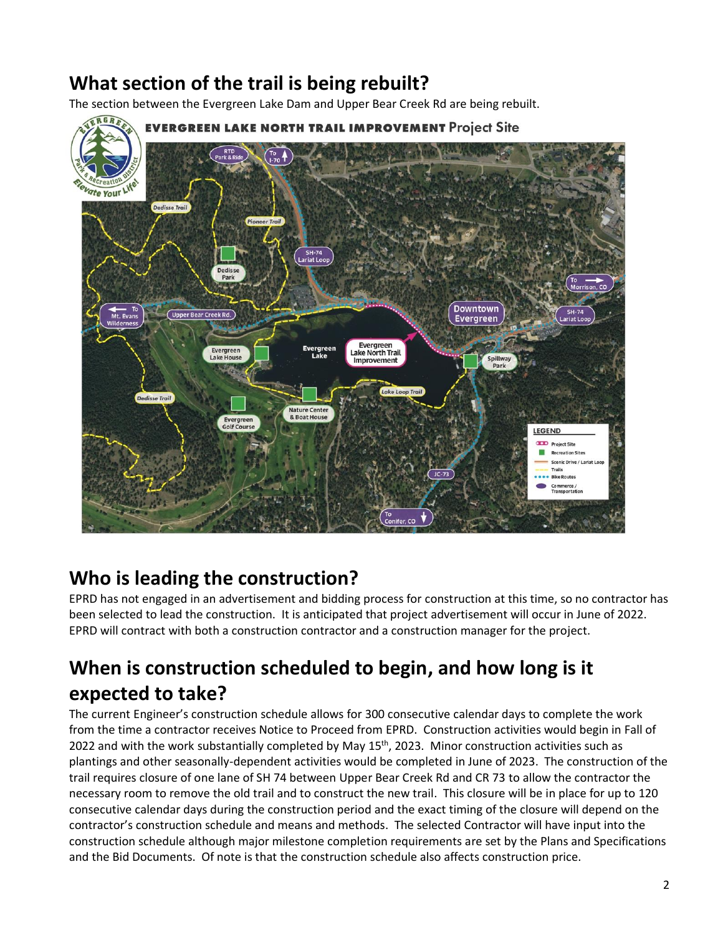# **What section of the trail is being rebuilt?**

The section between the Evergreen Lake Dam and Upper Bear Creek Rd are being rebuilt.



## **Who is leading the construction?**

EPRD has not engaged in an advertisement and bidding process for construction at this time, so no contractor has been selected to lead the construction. It is anticipated that project advertisement will occur in June of 2022. EPRD will contract with both a construction contractor and a construction manager for the project.

# **When is construction scheduled to begin, and how long is it expected to take?**

The current Engineer's construction schedule allows for 300 consecutive calendar days to complete the work from the time a contractor receives Notice to Proceed from EPRD. Construction activities would begin in Fall of 2022 and with the work substantially completed by May  $15<sup>th</sup>$ , 2023. Minor construction activities such as plantings and other seasonally-dependent activities would be completed in June of 2023. The construction of the trail requires closure of one lane of SH 74 between Upper Bear Creek Rd and CR 73 to allow the contractor the necessary room to remove the old trail and to construct the new trail. This closure will be in place for up to 120 consecutive calendar days during the construction period and the exact timing of the closure will depend on the contractor's construction schedule and means and methods. The selected Contractor will have input into the construction schedule although major milestone completion requirements are set by the Plans and Specifications and the Bid Documents. Of note is that the construction schedule also affects construction price.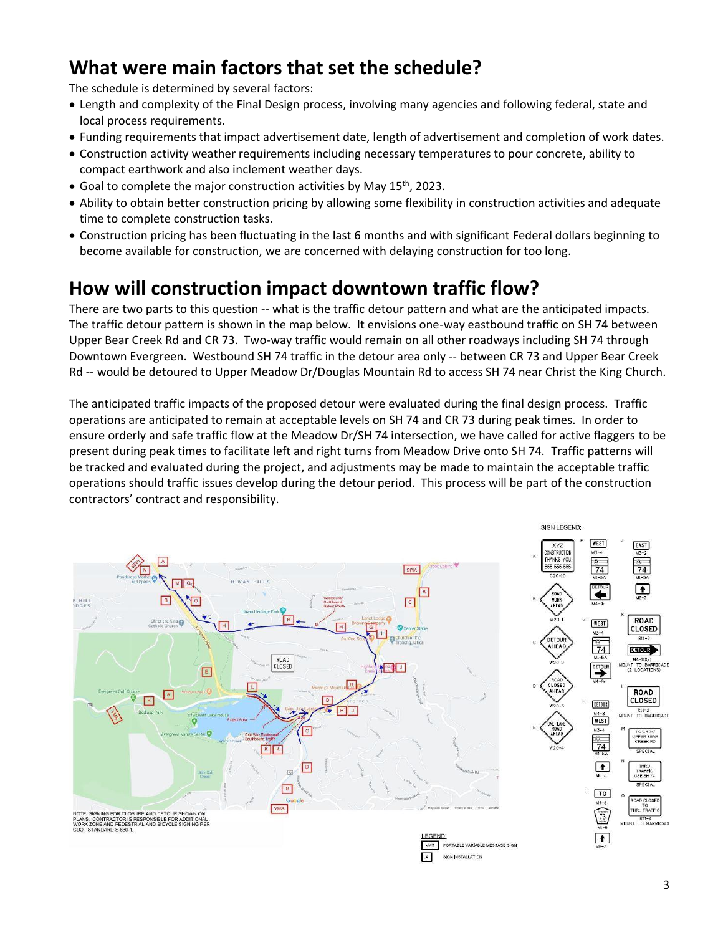#### **What were main factors that set the schedule?**

The schedule is determined by several factors:

- Length and complexity of the Final Design process, involving many agencies and following federal, state and local process requirements.
- Funding requirements that impact advertisement date, length of advertisement and completion of work dates.
- Construction activity weather requirements including necessary temperatures to pour concrete, ability to compact earthwork and also inclement weather days.
- Goal to complete the major construction activities by May 15<sup>th</sup>, 2023.
- Ability to obtain better construction pricing by allowing some flexibility in construction activities and adequate time to complete construction tasks.
- Construction pricing has been fluctuating in the last 6 months and with significant Federal dollars beginning to become available for construction, we are concerned with delaying construction for too long.

# **How will construction impact downtown traffic flow?**

There are two parts to this question -- what is the traffic detour pattern and what are the anticipated impacts. The traffic detour pattern is shown in the map below. It envisions one-way eastbound traffic on SH 74 between Upper Bear Creek Rd and CR 73. Two-way traffic would remain on all other roadways including SH 74 through Downtown Evergreen. Westbound SH 74 traffic in the detour area only -- between CR 73 and Upper Bear Creek Rd -- would be detoured to Upper Meadow Dr/Douglas Mountain Rd to access SH 74 near Christ the King Church.

The anticipated traffic impacts of the proposed detour were evaluated during the final design process. Traffic operations are anticipated to remain at acceptable levels on SH 74 and CR 73 during peak times. In order to ensure orderly and safe traffic flow at the Meadow Dr/SH 74 intersection, we have called for active flaggers to be present during peak times to facilitate left and right turns from Meadow Drive onto SH 74. Traffic patterns will be tracked and evaluated during the project, and adjustments may be made to maintain the acceptable traffic operations should traffic issues develop during the detour period. This process will be part of the construction contractors' contract and responsibility.